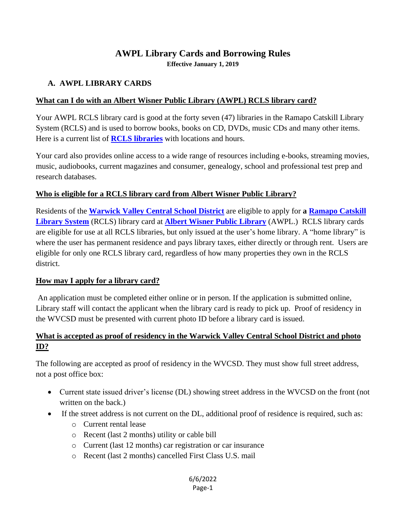# **AWPL Library Cards and Borrowing Rules**

**Effective January 1, 2019**

## **A. AWPL LIBRARY CARDS**

### **What can I do with an Albert Wisner Public Library (AWPL) RCLS library card?**

Your AWPL RCLS library card is good at the forty seven (47) libraries in the Ramapo Catskill Library System (RCLS) and is used to borrow books, books on CD, DVDs, music CDs and many other items. Here is a current list of **[RCLS libraries](http://rcls.org/?q=members)** with locations and hours.

Your card also provides online access to a wide range of resources including e-books, streaming movies, music, audiobooks, current magazines and consumer, genealogy, school and professional test prep and research databases.

## **Who is eligible for a RCLS library card from Albert Wisner Public Library?**

Residents of the **[Warwick Valley Central School District](https://www.warwickvalleyschools.com/)** are eligible to apply for **a [Ramapo Catskill](http://www.rcls.org/)  [Library System](http://www.rcls.org/)** (RCLS) library card at **[Albert Wisner Public Library](http://www.albertwisnerlibrary.org/)** (AWPL.) RCLS library cards are eligible for use at all RCLS libraries, but only issued at the user's home library. A "home library" is where the user has permanent residence and pays library taxes, either directly or through rent. Users are eligible for only one RCLS library card, regardless of how many properties they own in the RCLS district.

### **How may I apply for a library card?**

An application must be completed either online or in person. If the application is submitted online, Library staff will contact the applicant when the library card is ready to pick up. Proof of residency in the WVCSD must be presented with current photo ID before a library card is issued.

# **What is accepted as proof of residency in the Warwick Valley Central School District and photo ID?**

The following are accepted as proof of residency in the WVCSD. They must show full street address, not a post office box:

- Current state issued driver's license (DL) showing street address in the WVCSD on the front (not written on the back.)
- If the street address is not current on the DL, additional proof of residence is required, such as:
	- o Current rental lease
	- o Recent (last 2 months) utility or cable bill
	- o Current (last 12 months) car registration or car insurance
	- o Recent (last 2 months) cancelled First Class U.S. mail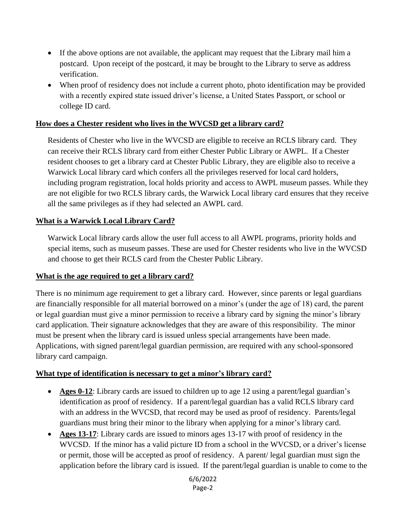- If the above options are not available, the applicant may request that the Library mail him a postcard. Upon receipt of the postcard, it may be brought to the Library to serve as address verification.
- When proof of residency does not include a current photo, photo identification may be provided with a recently expired state issued driver's license, a United States Passport, or school or college ID card.

### **How does a Chester resident who lives in the WVCSD get a library card?**

Residents of Chester who live in the WVCSD are eligible to receive an RCLS library card. They can receive their RCLS library card from either Chester Public Library or AWPL. If a Chester resident chooses to get a library card at Chester Public Library, they are eligible also to receive a Warwick Local library card which confers all the privileges reserved for local card holders, including program registration, local holds priority and access to AWPL museum passes. While they are not eligible for two RCLS library cards, the Warwick Local library card ensures that they receive all the same privileges as if they had selected an AWPL card.

### **What is a Warwick Local Library Card?**

Warwick Local library cards allow the user full access to all AWPL programs, priority holds and special items, such as museum passes. These are used for Chester residents who live in the WVCSD and choose to get their RCLS card from the Chester Public Library.

#### **What is the age required to get a library card?**

There is no minimum age requirement to get a library card. However, since parents or legal guardians are financially responsible for all material borrowed on a minor's (under the age of 18) card, the parent or legal guardian must give a minor permission to receive a library card by signing the minor's library card application. Their signature acknowledges that they are aware of this responsibility. The minor must be present when the library card is issued unless special arrangements have been made. Applications, with signed parent/legal guardian permission, are required with any school-sponsored library card campaign.

#### **What type of identification is necessary to get a minor's library card?**

- **Ages 0-12**: Library cards are issued to children up to age 12 using a parent/legal guardian's identification as proof of residency. If a parent/legal guardian has a valid RCLS library card with an address in the WVCSD, that record may be used as proof of residency. Parents/legal guardians must bring their minor to the library when applying for a minor's library card.
- Ages 13-17: Library cards are issued to minors ages 13-17 with proof of residency in the WVCSD. If the minor has a valid picture ID from a school in the WVCSD, or a driver's license or permit, those will be accepted as proof of residency. A parent/ legal guardian must sign the application before the library card is issued. If the parent/legal guardian is unable to come to the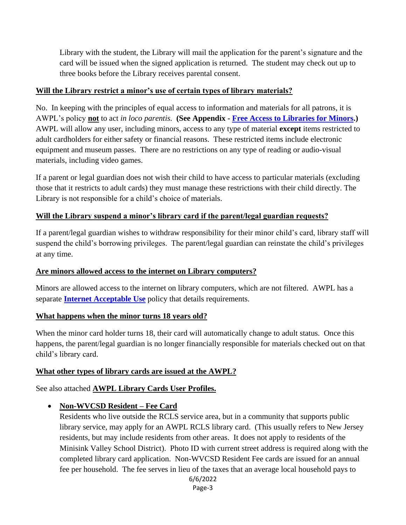Library with the student, the Library will mail the application for the parent's signature and the card will be issued when the signed application is returned. The student may check out up to three books before the Library receives parental consent.

### **Will the Library restrict a minor's use of certain types of library materials?**

No. In keeping with the principles of equal access to information and materials for all patrons, it is AWPL's policy **not** to act *in loco parentis.* **(See Appendix - [Free Access to Libraries for Minors.](http://www.albertwisnerlibrary.org/sites/default/files/free_access_to_libraries_for_minors.pdf))** AWPL will allow any user, including minors, access to any type of material **except** items restricted to adult cardholders for either safety or financial reasons. These restricted items include electronic equipment and museum passes. There are no restrictions on any type of reading or audio-visual materials, including video games.

If a parent or legal guardian does not wish their child to have access to particular materials (excluding those that it restricts to adult cards) they must manage these restrictions with their child directly. The Library is not responsible for a child's choice of materials.

### **Will the Library suspend a minor's library card if the parent/legal guardian requests?**

If a parent/legal guardian wishes to withdraw responsibility for their minor child's card, library staff will suspend the child's borrowing privileges. The parent/legal guardian can reinstate the child's privileges at any time.

### **Are minors allowed access to the internet on Library computers?**

Minors are allowed access to the internet on library computers, which are not filtered. AWPL has a separate **[Internet Acceptable Use](http://www.albertwisnerlibrary.org/content/internet-acceptable-use-policy)** policy that details requirements.

#### **What happens when the minor turns 18 years old?**

When the minor card holder turns 18, their card will automatically change to adult status. Once this happens, the parent/legal guardian is no longer financially responsible for materials checked out on that child's library card.

#### **What other types of library cards are issued at the AWPL?**

See also attached **AWPL Library Cards User Profiles.**

### **Non-WVCSD Resident – Fee Card**

Residents who live outside the RCLS service area, but in a community that supports public library service, may apply for an AWPL RCLS library card. (This usually refers to New Jersey residents, but may include residents from other areas. It does not apply to residents of the Minisink Valley School District). Photo ID with current street address is required along with the completed library card application. Non-WVCSD Resident Fee cards are issued for an annual fee per household. The fee serves in lieu of the taxes that an average local household pays to

```
6/6/2022
```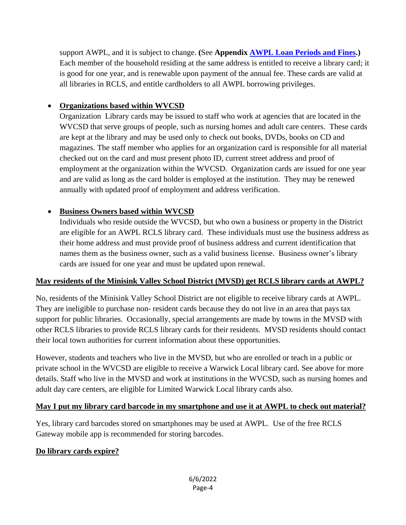support AWPL, and it is subject to change. **(**See **Appendix [AWPL Loan Periods and Fines.](http://www.albertwisnerlibrary.org/sites/default/files/january_2019_loan-fines.xlsx))** Each member of the household residing at the same address is entitled to receive a library card; it is good for one year, and is renewable upon payment of the annual fee. These cards are valid at all libraries in RCLS, and entitle cardholders to all AWPL borrowing privileges.

## **Organizations based within WVCSD**

Organization Library cards may be issued to staff who work at agencies that are located in the WVCSD that serve groups of people, such as nursing homes and adult care centers. These cards are kept at the library and may be used only to check out books, DVDs, books on CD and magazines. The staff member who applies for an organization card is responsible for all material checked out on the card and must present photo ID, current street address and proof of employment at the organization within the WVCSD. Organization cards are issued for one year and are valid as long as the card holder is employed at the institution. They may be renewed annually with updated proof of employment and address verification.

### **Business Owners based within WVCSD**

Individuals who reside outside the WVCSD, but who own a business or property in the District are eligible for an AWPL RCLS library card. These individuals must use the business address as their home address and must provide proof of business address and current identification that names them as the business owner, such as a valid business license. Business owner's library cards are issued for one year and must be updated upon renewal.

### **May residents of the Minisink Valley School District (MVSD) get RCLS library cards at AWPL?**

No, residents of the Minisink Valley School District are not eligible to receive library cards at AWPL. They are ineligible to purchase non- resident cards because they do not live in an area that pays tax support for public libraries. Occasionally, special arrangements are made by towns in the MVSD with other RCLS libraries to provide RCLS library cards for their residents. MVSD residents should contact their local town authorities for current information about these opportunities.

However, students and teachers who live in the MVSD, but who are enrolled or teach in a public or private school in the WVCSD are eligible to receive a Warwick Local library card. See above for more details. Staff who live in the MVSD and work at institutions in the WVCSD, such as nursing homes and adult day care centers, are eligible for Limited Warwick Local library cards also.

### **May I put my library card barcode in my smartphone and use it at AWPL to check out material?**

Yes, library card barcodes stored on smartphones may be used at AWPL. Use of the free RCLS Gateway mobile app is recommended for storing barcodes.

### **Do library cards expire?**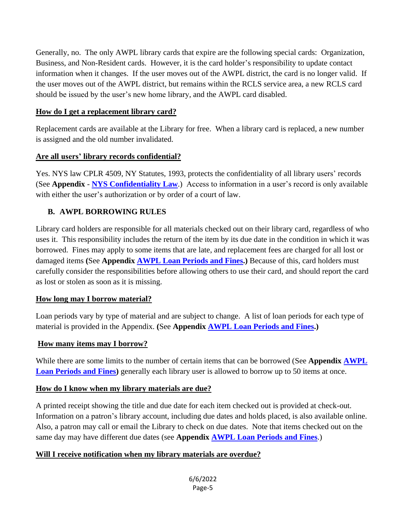Generally, no. The only AWPL library cards that expire are the following special cards: Organization, Business, and Non-Resident cards. However, it is the card holder's responsibility to update contact information when it changes. If the user moves out of the AWPL district, the card is no longer valid. If the user moves out of the AWPL district, but remains within the RCLS service area, a new RCLS card should be issued by the user's new home library, and the AWPL card disabled.

#### **How do I get a replacement library card?**

Replacement cards are available at the Library for free. When a library card is replaced, a new number is assigned and the old number invalidated.

### **Are all users' library records confidential?**

Yes. NYS law CPLR 4509, NY Statutes, 1993, protects the confidentiality of all library users' records (See **Appendix** - **NYS [Confidentiality Law](http://www.albertwisnerlibrary.org/sites/default/files/nys_confidentiality_law.pdf)**.) Access to information in a user's record is only available with either the user's authorization or by order of a court of law.

### **B. AWPL BORROWING RULES**

Library card holders are responsible for all materials checked out on their library card, regardless of who uses it. This responsibility includes the return of the item by its due date in the condition in which it was borrowed. Fines may apply to some items that are late, and replacement fees are charged for all lost or damaged items **(**See **Appendix AWPL [Loan Periods and Fines.](http://www.albertwisnerlibrary.org/sites/default/files/january_2019_loan-fines.xlsx))** Because of this, card holders must carefully consider the responsibilities before allowing others to use their card, and should report the card as lost or stolen as soon as it is missing.

#### **How long may I borrow material?**

Loan periods vary by type of material and are subject to change. A list of loan periods for each type of material is provided in the Appendix. **(**See **Appendix [AWPL Loan Periods and Fines.](http://www.albertwisnerlibrary.org/sites/default/files/january_2019_loan-fines.xlsx))**

#### **How many items may I borrow?**

While there are some limits to the number of certain items that can be borrowed (See **Appendix [AWPL](http://www.albertwisnerlibrary.org/sites/default/files/january_2019_loan-fines.xlsx) [Loan Periods](http://www.albertwisnerlibrary.org/sites/default/files/january_2019_loan-fines.xlsx) and Fines)** generally each library user is allowed to borrow up to 50 items at once.

### **How do I know when my library materials are due?**

A printed receipt showing the title and due date for each item checked out is provided at check-out. Information on a patron's library account, including due dates and holds placed, is also available online. Also, a patron may call or email the Library to check on due dates. Note that items checked out on the same day may have different due dates (see **Appendix [AWPL Loan Periods](http://www.albertwisnerlibrary.org/sites/default/files/january_2019_loan-fines.xlsx) and Fines**.)

### **Will I receive notification when my library materials are overdue?**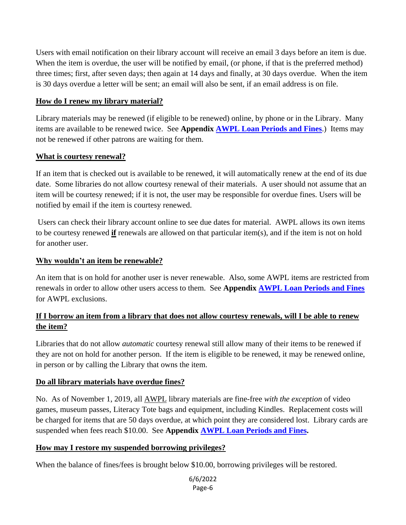Users with email notification on their library account will receive an email 3 days before an item is due. When the item is overdue, the user will be notified by email, (or phone, if that is the preferred method) three times; first, after seven days; then again at 14 days and finally, at 30 days overdue. When the item is 30 days overdue a letter will be sent; an email will also be sent, if an email address is on file.

#### **How do I renew my library material?**

Library materials may be renewed (if eligible to be renewed) online, by phone or in the Library. Many items are available to be renewed twice. See **Appendix [AWPL Loan Periods and Fines](http://www.albertwisnerlibrary.org/sites/default/files/january_2019_loan-fines.xlsx)**.) Items may not be renewed if other patrons are waiting for them.

#### **What is courtesy renewal?**

If an item that is checked out is available to be renewed, it will automatically renew at the end of its due date. Some libraries do not allow courtesy renewal of their materials. A user should not assume that an item will be courtesy renewed; if it is not, the user may be responsible for overdue fines. Users will be notified by email if the item is courtesy renewed.

Users can check their library account online to see due dates for material. AWPL allows its own items to be courtesy renewed **if** renewals are allowed on that particular item(s), and if the item is not on hold for another user.

#### **Why wouldn't an item be renewable?**

An item that is on hold for another user is never renewable. Also, some AWPL items are restricted from renewals in order to allow other users access to them. See **Appendix [AWPL Loan Periods and Fines](http://www.albertwisnerlibrary.org/sites/default/files/january_2019_loan-fines.xlsx)** for AWPL exclusions.

### **If I borrow an item from a library that does not allow courtesy renewals, will I be able to renew the item?**

Libraries that do not allow *automatic* courtesy renewal still allow many of their items to be renewed if they are not on hold for another person. If the item is eligible to be renewed, it may be renewed online, in person or by calling the Library that owns the item.

### **Do all library materials have overdue fines?**

No. As of November 1, 2019, all AWPL library materials are fine-free *with the exception* of video games, museum passes, Literacy Tote bags and equipment, including Kindles. Replacement costs will be charged for items that are 50 days overdue, at which point they are considered lost. Library cards are suspended when fees reach \$10.00. See **Appendix [AWPL Loan Periods](http://www.albertwisnerlibrary.org/sites/default/files/january_2019_loan-fines.xlsx) and Fines.**

#### **How may I restore my suspended borrowing privileges?**

When the balance of fines/fees is brought below \$10.00, borrowing privileges will be restored.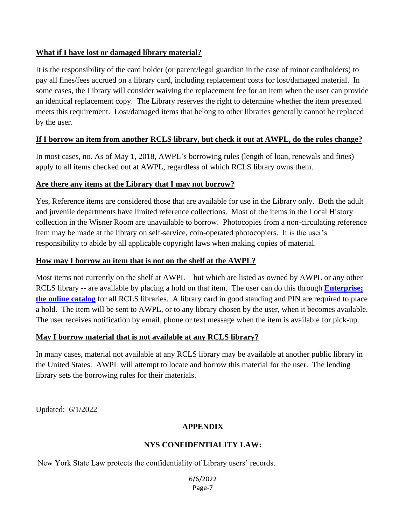### **What if I have lost or damaged library material?**

It is the responsibility of the card holder (or parent/legal guardian in the case of minor cardholders) to pay all fines/fees accrued on a library card, including replacement costs for lost/damaged material. In some cases, the Library will consider waiving the replacement fee for an item when the user can provide an identical replacement copy. The Library reserves the right to determine whether the item presented meets this requirement. Lost/damaged items that belong to other libraries generally cannot be replaced by the user.

### **If I borrow an item from another RCLS library, but check it out at AWPL, do the rules change?**

In most cases, no. As of May 1, 2018, AWPL's borrowing rules (length of loan, renewals and fines) apply to all items checked out at AWPL, regardless of which RCLS library owns them.

### **Are there any items at the Library that I may not borrow?**

Yes, Reference items are considered those that are available for use in the Library only. Both the adult and juvenile departments have limited reference collections. Most of the items in the Local History collection in the Wisner Room are unavailable to borrow. Photocopies from a non-circulating reference item may be made at the library on self-service, coin-operated photocopiers. It is the user's responsibility to abide by all applicable copyright laws when making copies of material.

### **How may I borrow an item that is not on the shelf at the AWPL?**

Most items not currently on the shelf at AWPL – but which are listed as owned by AWPL or any other RCLS library -- are available by placing a hold on that item. The user can do this through **[Enterprise;](https://rcls.ent.sirsi.net/client/en_US/warwick/) [the online catalog](https://rcls.ent.sirsi.net/client/en_US/warwick/)** for all RCLS libraries. A library card in good standing and PIN are required to place a hold. The item will be sent to AWPL, or to any library chosen by the user, when it becomes available. The user receives notification by email, phone or text message when the item is available for pick-up.

#### **May I borrow material that is not available at any RCLS library?**

In many cases, material not available at any RCLS library may be available at another public library in the United States. AWPL will attempt to locate and borrow this material for the user. The lending library sets the borrowing rules for their materials.

Updated: 6/1/2022

### **APPENDIX**

### **NYS CONFIDENTIALITY LAW:**

New York State Law protects the confidentiality of Library users' records.

6/6/2022 Page-7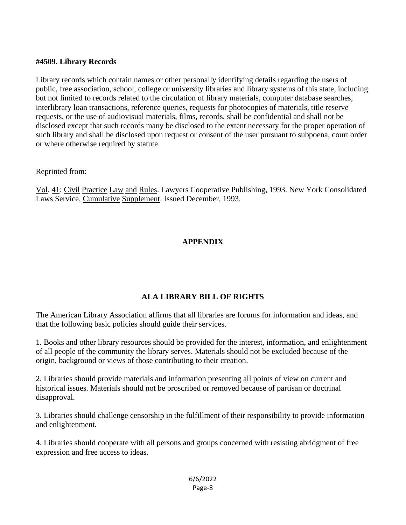#### **#4509. Library Records**

Library records which contain names or other personally identifying details regarding the users of public, free association, school, college or university libraries and library systems of this state, including but not limited to records related to the circulation of library materials, computer database searches, interlibrary loan transactions, reference queries, requests for photocopies of materials, title reserve requests, or the use of audiovisual materials, films, records, shall be confidential and shall not be disclosed except that such records many be disclosed to the extent necessary for the proper operation of such library and shall be disclosed upon request or consent of the user pursuant to subpoena, court order or where otherwise required by statute.

#### Reprinted from:

Vol. 41: Civil Practice Law and Rules. Lawyers Cooperative Publishing, 1993. New York Consolidated Laws Service, Cumulative Supplement. Issued December, 1993.

### **APPENDIX**

### **ALA LIBRARY BILL OF RIGHTS**

The American Library Association affirms that all libraries are forums for information and ideas, and that the following basic policies should guide their services.

1. Books and other library resources should be provided for the interest, information, and enlightenment of all people of the community the library serves. Materials should not be excluded because of the origin, background or views of those contributing to their creation.

2. Libraries should provide materials and information presenting all points of view on current and historical issues. Materials should not be proscribed or removed because of partisan or doctrinal disapproval.

3. Libraries should challenge censorship in the fulfillment of their responsibility to provide information and enlightenment.

4. Libraries should cooperate with all persons and groups concerned with resisting abridgment of free expression and free access to ideas.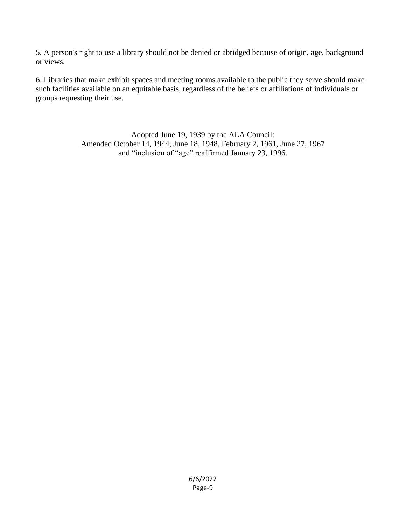5. A person's right to use a library should not be denied or abridged because of origin, age, background or views.

6. Libraries that make exhibit spaces and meeting rooms available to the public they serve should make such facilities available on an equitable basis, regardless of the beliefs or affiliations of individuals or groups requesting their use.

> Adopted June 19, 1939 by the ALA Council: Amended October 14, 1944, June 18, 1948, February 2, 1961, June 27, 1967 and "inclusion of "age" reaffirmed January 23, 1996.